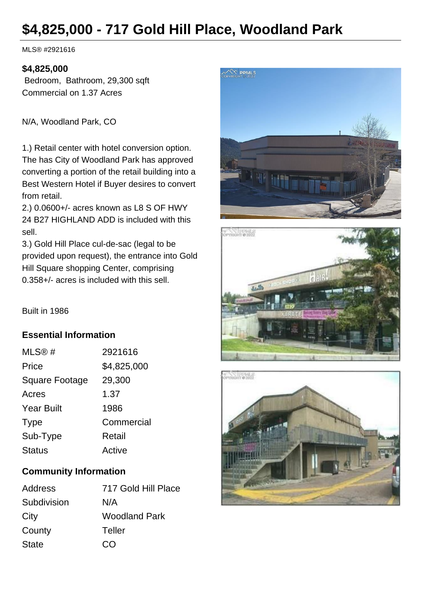# **\$4,825,000 - 717 Gold Hill Place, Woodland Park**

MLS® #2921616

#### **\$4,825,000**

 Bedroom, Bathroom, 29,300 sqft Commercial on 1.37 Acres

N/A, Woodland Park, CO

1.) Retail center with hotel conversion option. The has City of Woodland Park has approved converting a portion of the retail building into a Best Western Hotel if Buyer desires to convert from retail.

2.) 0.0600+/- acres known as L8 S OF HWY 24 B27 HIGHLAND ADD is included with this sell.

3.) Gold Hill Place cul-de-sac (legal to be provided upon request), the entrance into Gold Hill Square shopping Center, comprising 0.358+/- acres is included with this sell.







Built in 1986

### **Essential Information**

| MLS@#                 | 2921616     |
|-----------------------|-------------|
| Price                 | \$4,825,000 |
| <b>Square Footage</b> | 29,300      |
| Acres                 | 1.37        |
| <b>Year Built</b>     | 1986        |
| <b>Type</b>           | Commercial  |
| Sub-Type              | Retail      |
| <b>Status</b>         | Active      |
|                       |             |

## **Community Information**

| Address      | 717 Gold Hill Place  |
|--------------|----------------------|
| Subdivision  | N/A                  |
| City         | <b>Woodland Park</b> |
| County       | Teller               |
| <b>State</b> | CO                   |
|              |                      |